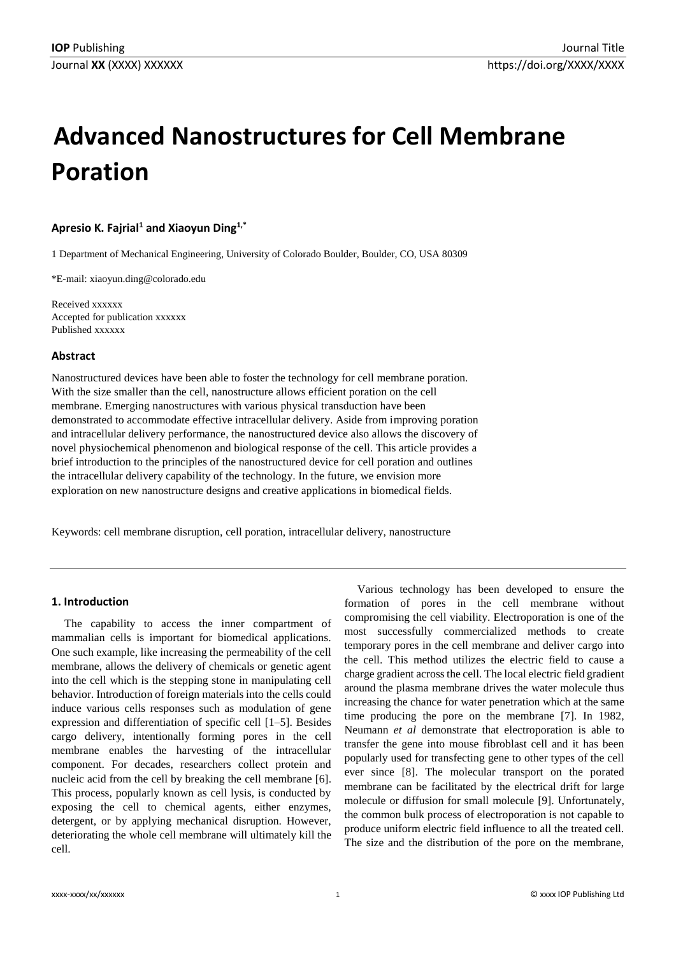# **Advanced Nanostructures for Cell Membrane Poration**

## **Apresio K. Fajrial<sup>1</sup> and Xiaoyun Ding1,\***

1 Department of Mechanical Engineering, University of Colorado Boulder, Boulder, CO, USA 80309

\*E-mail: [xiaoyun.ding@colorado.edu](mailto:xiaoyun.ding@colorado.edu)

Received xxxxxx Accepted for publication xxxxxx Published xxxxxx

#### **Abstract**

Nanostructured devices have been able to foster the technology for cell membrane poration. With the size smaller than the cell, nanostructure allows efficient poration on the cell membrane. Emerging nanostructures with various physical transduction have been demonstrated to accommodate effective intracellular delivery. Aside from improving poration and intracellular delivery performance, the nanostructured device also allows the discovery of novel physiochemical phenomenon and biological response of the cell. This article provides a brief introduction to the principles of the nanostructured device for cell poration and outlines the intracellular delivery capability of the technology. In the future, we envision more exploration on new nanostructure designs and creative applications in biomedical fields.

Keywords: cell membrane disruption, cell poration, intracellular delivery, nanostructure

## **1. Introduction**

The capability to access the inner compartment of mammalian cells is important for biomedical applications. One such example, like increasing the permeability of the cell membrane, allows the delivery of chemicals or genetic agent into the cell which is the stepping stone in manipulating cell behavior. Introduction of foreign materials into the cells could induce various cells responses such as modulation of gene expression and differentiation of specific cell [1–5]. Besides cargo delivery, intentionally forming pores in the cell membrane enables the harvesting of the intracellular component. For decades, researchers collect protein and nucleic acid from the cell by breaking the cell membrane [6]. This process, popularly known as cell lysis, is conducted by exposing the cell to chemical agents, either enzymes, detergent, or by applying mechanical disruption. However, deteriorating the whole cell membrane will ultimately kill the cell.

Various technology has been developed to ensure the formation of pores in the cell membrane without compromising the cell viability. Electroporation is one of the most successfully commercialized methods to create temporary pores in the cell membrane and deliver cargo into the cell. This method utilizes the electric field to cause a charge gradient across the cell. The local electric field gradient around the plasma membrane drives the water molecule thus increasing the chance for water penetration which at the same time producing the pore on the membrane [7]. In 1982, Neumann *et al* demonstrate that electroporation is able to transfer the gene into mouse fibroblast cell and it has been popularly used for transfecting gene to other types of the cell ever since [8]. The molecular transport on the porated membrane can be facilitated by the electrical drift for large molecule or diffusion for small molecule [9]. Unfortunately, the common bulk process of electroporation is not capable to produce uniform electric field influence to all the treated cell. The size and the distribution of the pore on the membrane,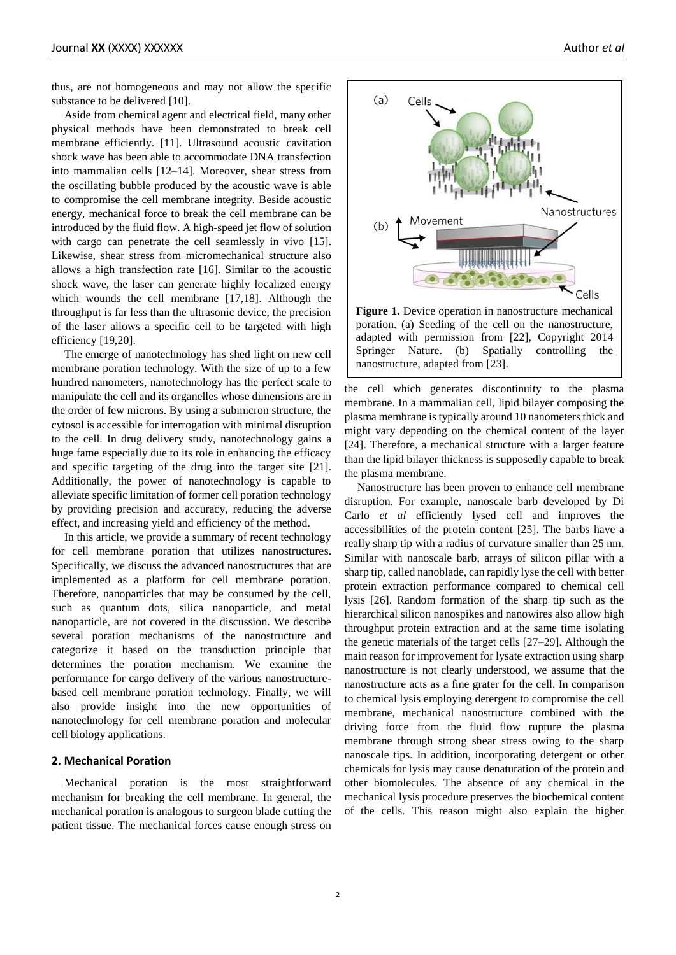thus, are not homogeneous and may not allow the specific substance to be delivered [10].

Aside from chemical agent and electrical field, many other physical methods have been demonstrated to break cell membrane efficiently. [11]. Ultrasound acoustic cavitation shock wave has been able to accommodate DNA transfection into mammalian cells [12–14]. Moreover, shear stress from the oscillating bubble produced by the acoustic wave is able to compromise the cell membrane integrity. Beside acoustic energy, mechanical force to break the cell membrane can be introduced by the fluid flow. A high-speed jet flow of solution with cargo can penetrate the cell seamlessly in vivo [15]. Likewise, shear stress from micromechanical structure also allows a high transfection rate [16]. Similar to the acoustic shock wave, the laser can generate highly localized energy which wounds the cell membrane [17,18]. Although the throughput is far less than the ultrasonic device, the precision of the laser allows a specific cell to be targeted with high efficiency [19,20].

The emerge of nanotechnology has shed light on new cell membrane poration technology. With the size of up to a few hundred nanometers, nanotechnology has the perfect scale to manipulate the cell and its organelles whose dimensions are in the order of few microns. By using a submicron structure, the cytosol is accessible for interrogation with minimal disruption to the cell. In drug delivery study, nanotechnology gains a huge fame especially due to its role in enhancing the efficacy and specific targeting of the drug into the target site [21]. Additionally, the power of nanotechnology is capable to alleviate specific limitation of former cell poration technology by providing precision and accuracy, reducing the adverse effect, and increasing yield and efficiency of the method.

In this article, we provide a summary of recent technology for cell membrane poration that utilizes nanostructures. Specifically, we discuss the advanced nanostructures that are implemented as a platform for cell membrane poration. Therefore, nanoparticles that may be consumed by the cell, such as quantum dots, silica nanoparticle, and metal nanoparticle, are not covered in the discussion. We describe several poration mechanisms of the nanostructure and categorize it based on the transduction principle that determines the poration mechanism. We examine the performance for cargo delivery of the various nanostructurebased cell membrane poration technology. Finally, we will also provide insight into the new opportunities of nanotechnology for cell membrane poration and molecular cell biology applications.

## **2. Mechanical Poration**

Mechanical poration is the most straightforward mechanism for breaking the cell membrane. In general, the mechanical poration is analogous to surgeon blade cutting the patient tissue. The mechanical forces cause enough stress on



poration. (a) Seeding of the cell on the nanostructure, adapted with permission from [22], Copyright 2014 Springer Nature. (b) Spatially controlling the nanostructure, adapted from [23].

the cell which generates discontinuity to the plasma membrane. In a mammalian cell, lipid bilayer composing the plasma membrane is typically around 10 nanometers thick and might vary depending on the chemical content of the layer [24]. Therefore, a mechanical structure with a larger feature than the lipid bilayer thickness is supposedly capable to break the plasma membrane.

Nanostructure has been proven to enhance cell membrane disruption. For example, nanoscale barb developed by Di Carlo *et al* efficiently lysed cell and improves the accessibilities of the protein content [25]. The barbs have a really sharp tip with a radius of curvature smaller than 25 nm. Similar with nanoscale barb, arrays of silicon pillar with a sharp tip, called nanoblade, can rapidly lyse the cell with better protein extraction performance compared to chemical cell lysis [26]. Random formation of the sharp tip such as the hierarchical silicon nanospikes and nanowires also allow high throughput protein extraction and at the same time isolating the genetic materials of the target cells [27–29]. Although the main reason for improvement for lysate extraction using sharp nanostructure is not clearly understood, we assume that the nanostructure acts as a fine grater for the cell. In comparison to chemical lysis employing detergent to compromise the cell membrane, mechanical nanostructure combined with the driving force from the fluid flow rupture the plasma membrane through strong shear stress owing to the sharp nanoscale tips. In addition, incorporating detergent or other chemicals for lysis may cause denaturation of the protein and other biomolecules. The absence of any chemical in the mechanical lysis procedure preserves the biochemical content of the cells. This reason might also explain the higher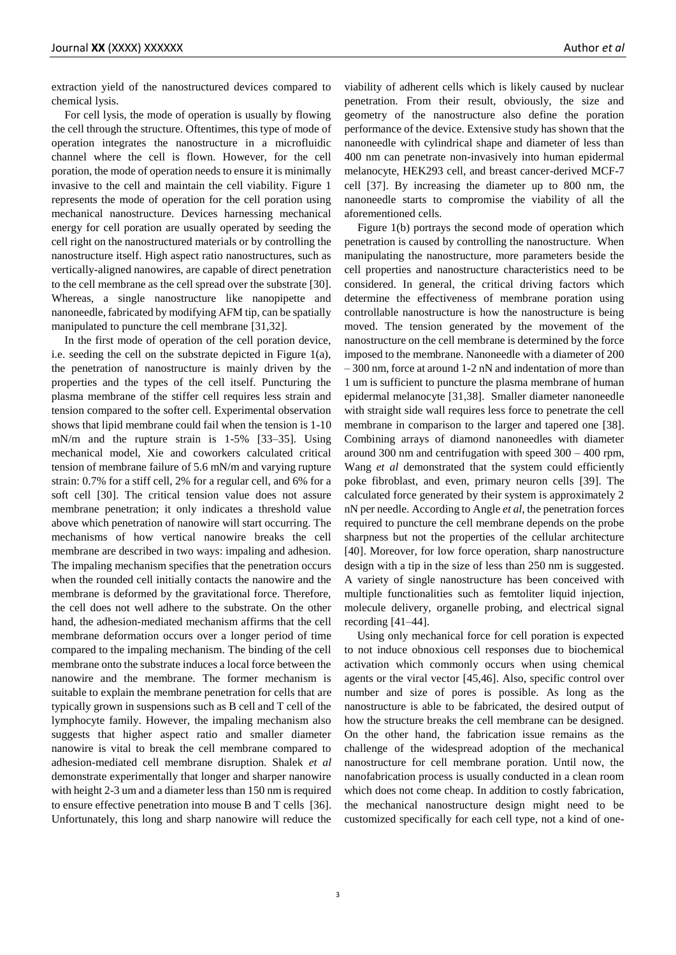extraction yield of the nanostructured devices compared to chemical lysis.

For cell lysis, the mode of operation is usually by flowing the cell through the structure. Oftentimes, this type of mode of operation integrates the nanostructure in a microfluidic channel where the cell is flown. However, for the cell poration, the mode of operation needs to ensure it is minimally invasive to the cell and maintain the cell viability. Figure 1 represents the mode of operation for the cell poration using mechanical nanostructure. Devices harnessing mechanical energy for cell poration are usually operated by seeding the cell right on the nanostructured materials or by controlling the nanostructure itself. High aspect ratio nanostructures, such as vertically-aligned nanowires, are capable of direct penetration to the cell membrane as the cell spread over the substrate [30]. Whereas, a single nanostructure like nanopipette and nanoneedle, fabricated by modifying AFM tip, can be spatially manipulated to puncture the cell membrane [31,32].

In the first mode of operation of the cell poration device, i.e. seeding the cell on the substrate depicted in Figure 1(a), the penetration of nanostructure is mainly driven by the properties and the types of the cell itself. Puncturing the plasma membrane of the stiffer cell requires less strain and tension compared to the softer cell. Experimental observation shows that lipid membrane could fail when the tension is 1-10 mN/m and the rupture strain is 1-5% [33–35]. Using mechanical model, Xie and coworkers calculated critical tension of membrane failure of 5.6 mN/m and varying rupture strain: 0.7% for a stiff cell, 2% for a regular cell, and 6% for a soft cell [30]. The critical tension value does not assure membrane penetration; it only indicates a threshold value above which penetration of nanowire will start occurring. The mechanisms of how vertical nanowire breaks the cell membrane are described in two ways: impaling and adhesion. The impaling mechanism specifies that the penetration occurs when the rounded cell initially contacts the nanowire and the membrane is deformed by the gravitational force. Therefore, the cell does not well adhere to the substrate. On the other hand, the adhesion-mediated mechanism affirms that the cell membrane deformation occurs over a longer period of time compared to the impaling mechanism. The binding of the cell membrane onto the substrate induces a local force between the nanowire and the membrane. The former mechanism is suitable to explain the membrane penetration for cells that are typically grown in suspensions such as B cell and T cell of the lymphocyte family. However, the impaling mechanism also suggests that higher aspect ratio and smaller diameter nanowire is vital to break the cell membrane compared to adhesion-mediated cell membrane disruption. Shalek *et al* demonstrate experimentally that longer and sharper nanowire with height 2-3 um and a diameter less than 150 nm is required to ensure effective penetration into mouse B and T cells [36]. Unfortunately, this long and sharp nanowire will reduce the

viability of adherent cells which is likely caused by nuclear penetration. From their result, obviously, the size and geometry of the nanostructure also define the poration performance of the device. Extensive study has shown that the nanoneedle with cylindrical shape and diameter of less than 400 nm can penetrate non-invasively into human epidermal melanocyte, HEK293 cell, and breast cancer-derived MCF-7 cell [37]. By increasing the diameter up to 800 nm, the nanoneedle starts to compromise the viability of all the aforementioned cells.

Figure 1(b) portrays the second mode of operation which penetration is caused by controlling the nanostructure. When manipulating the nanostructure, more parameters beside the cell properties and nanostructure characteristics need to be considered. In general, the critical driving factors which determine the effectiveness of membrane poration using controllable nanostructure is how the nanostructure is being moved. The tension generated by the movement of the nanostructure on the cell membrane is determined by the force imposed to the membrane. Nanoneedle with a diameter of 200 – 300 nm, force at around 1-2 nN and indentation of more than 1 um is sufficient to puncture the plasma membrane of human epidermal melanocyte [31,38]. Smaller diameter nanoneedle with straight side wall requires less force to penetrate the cell membrane in comparison to the larger and tapered one [38]. Combining arrays of diamond nanoneedles with diameter around 300 nm and centrifugation with speed 300 – 400 rpm, Wang *et al* demonstrated that the system could efficiently poke fibroblast, and even, primary neuron cells [39]. The calculated force generated by their system is approximately 2 nN per needle. According to Angle *et al*, the penetration forces required to puncture the cell membrane depends on the probe sharpness but not the properties of the cellular architecture [40]. Moreover, for low force operation, sharp nanostructure design with a tip in the size of less than 250 nm is suggested. A variety of single nanostructure has been conceived with multiple functionalities such as femtoliter liquid injection, molecule delivery, organelle probing, and electrical signal recording [41–44].

Using only mechanical force for cell poration is expected to not induce obnoxious cell responses due to biochemical activation which commonly occurs when using chemical agents or the viral vector [45,46]. Also, specific control over number and size of pores is possible. As long as the nanostructure is able to be fabricated, the desired output of how the structure breaks the cell membrane can be designed. On the other hand, the fabrication issue remains as the challenge of the widespread adoption of the mechanical nanostructure for cell membrane poration. Until now, the nanofabrication process is usually conducted in a clean room which does not come cheap. In addition to costly fabrication, the mechanical nanostructure design might need to be customized specifically for each cell type, not a kind of one-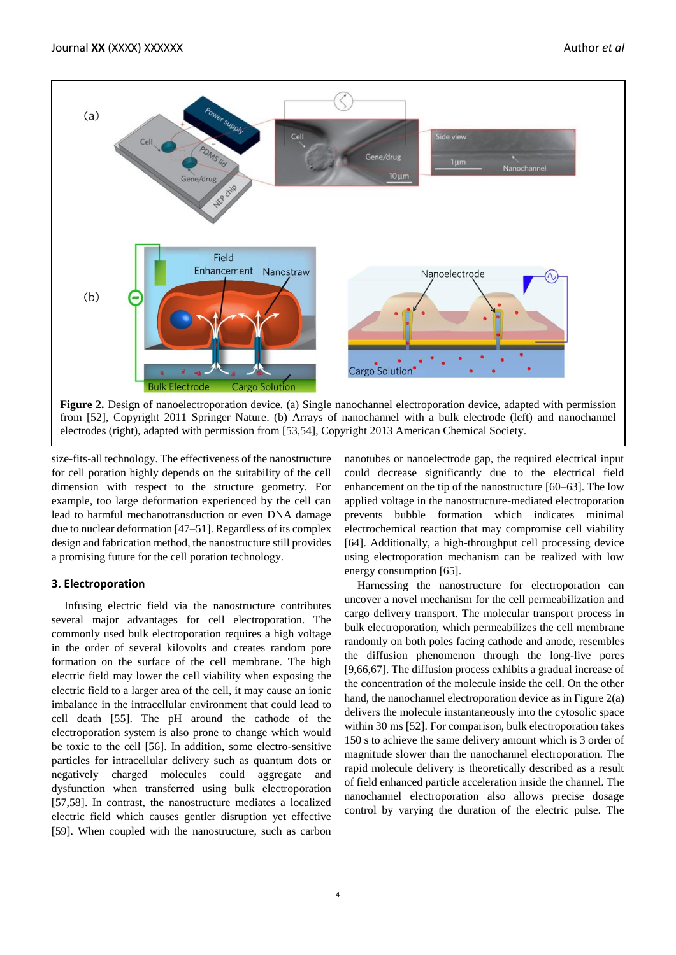

size-fits-all technology. The effectiveness of the nanostructure for cell poration highly depends on the suitability of the cell dimension with respect to the structure geometry. For example, too large deformation experienced by the cell can lead to harmful mechanotransduction or even DNA damage due to nuclear deformation [47–51]. Regardless of its complex design and fabrication method, the nanostructure still provides a promising future for the cell poration technology.

## **3. Electroporation**

Infusing electric field via the nanostructure contributes several major advantages for cell electroporation. The commonly used bulk electroporation requires a high voltage in the order of several kilovolts and creates random pore formation on the surface of the cell membrane. The high electric field may lower the cell viability when exposing the electric field to a larger area of the cell, it may cause an ionic imbalance in the intracellular environment that could lead to cell death [55]. The pH around the cathode of the electroporation system is also prone to change which would be toxic to the cell [56]. In addition, some electro-sensitive particles for intracellular delivery such as quantum dots or negatively charged molecules could aggregate and dysfunction when transferred using bulk electroporation [57,58]. In contrast, the nanostructure mediates a localized electric field which causes gentler disruption yet effective [59]. When coupled with the nanostructure, such as carbon

nanotubes or nanoelectrode gap, the required electrical input could decrease significantly due to the electrical field enhancement on the tip of the nanostructure [60–63]. The low applied voltage in the nanostructure-mediated electroporation prevents bubble formation which indicates minimal electrochemical reaction that may compromise cell viability [64]. Additionally, a high-throughput cell processing device using electroporation mechanism can be realized with low energy consumption [65].

Harnessing the nanostructure for electroporation can uncover a novel mechanism for the cell permeabilization and cargo delivery transport. The molecular transport process in bulk electroporation, which permeabilizes the cell membrane randomly on both poles facing cathode and anode, resembles the diffusion phenomenon through the long-live pores [9,66,67]. The diffusion process exhibits a gradual increase of the concentration of the molecule inside the cell. On the other hand, the nanochannel electroporation device as in Figure 2(a) delivers the molecule instantaneously into the cytosolic space within 30 ms [52]. For comparison, bulk electroporation takes 150 s to achieve the same delivery amount which is 3 order of magnitude slower than the nanochannel electroporation. The rapid molecule delivery is theoretically described as a result of field enhanced particle acceleration inside the channel. The nanochannel electroporation also allows precise dosage control by varying the duration of the electric pulse. The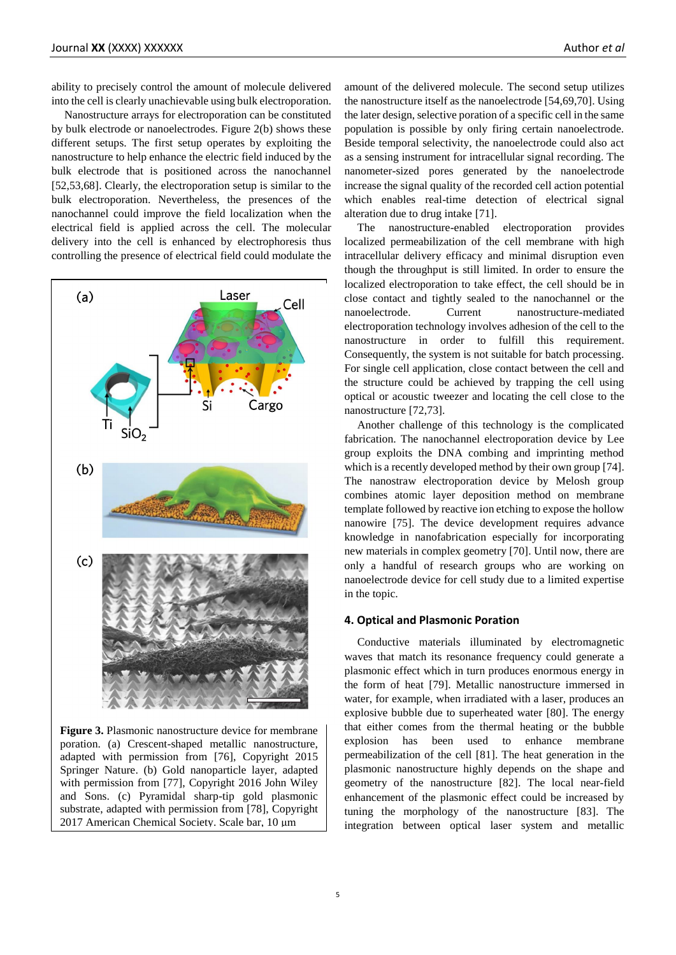ability to precisely control the amount of molecule delivered into the cell is clearly unachievable using bulk electroporation.

Nanostructure arrays for electroporation can be constituted by bulk electrode or nanoelectrodes. Figure 2(b) shows these different setups. The first setup operates by exploiting the nanostructure to help enhance the electric field induced by the bulk electrode that is positioned across the nanochannel [52,53,68]. Clearly, the electroporation setup is similar to the bulk electroporation. Nevertheless, the presences of the nanochannel could improve the field localization when the electrical field is applied across the cell. The molecular delivery into the cell is enhanced by electrophoresis thus controlling the presence of electrical field could modulate the



**Figure 3.** Plasmonic nanostructure device for membrane poration. (a) Crescent-shaped metallic nanostructure, adapted with permission from [76], Copyright 2015 Springer Nature. (b) Gold nanoparticle layer, adapted with permission from [77], Copyright 2016 John Wiley and Sons. (c) Pyramidal sharp-tip gold plasmonic substrate, adapted with permission from [78], Copyright 2017 American Chemical Society. Scale bar, 10 μm

amount of the delivered molecule. The second setup utilizes the nanostructure itself as the nanoelectrode [54,69,70]. Using the later design, selective poration of a specific cell in the same population is possible by only firing certain nanoelectrode. Beside temporal selectivity, the nanoelectrode could also act as a sensing instrument for intracellular signal recording. The nanometer-sized pores generated by the nanoelectrode increase the signal quality of the recorded cell action potential which enables real-time detection of electrical signal alteration due to drug intake [71].

The nanostructure-enabled electroporation provides localized permeabilization of the cell membrane with high intracellular delivery efficacy and minimal disruption even though the throughput is still limited. In order to ensure the localized electroporation to take effect, the cell should be in close contact and tightly sealed to the nanochannel or the nanoelectrode. Current nanostructure-mediated electroporation technology involves adhesion of the cell to the nanostructure in order to fulfill this requirement. Consequently, the system is not suitable for batch processing. For single cell application, close contact between the cell and the structure could be achieved by trapping the cell using optical or acoustic tweezer and locating the cell close to the nanostructure [72,73].

Another challenge of this technology is the complicated fabrication. The nanochannel electroporation device by Lee group exploits the DNA combing and imprinting method which is a recently developed method by their own group [74]. The nanostraw electroporation device by Melosh group combines atomic layer deposition method on membrane template followed by reactive ion etching to expose the hollow nanowire [75]. The device development requires advance knowledge in nanofabrication especially for incorporating new materials in complex geometry [70]. Until now, there are only a handful of research groups who are working on nanoelectrode device for cell study due to a limited expertise in the topic.

#### **4. Optical and Plasmonic Poration**

Conductive materials illuminated by electromagnetic waves that match its resonance frequency could generate a plasmonic effect which in turn produces enormous energy in the form of heat [79]. Metallic nanostructure immersed in water, for example, when irradiated with a laser, produces an explosive bubble due to superheated water [80]. The energy that either comes from the thermal heating or the bubble explosion has been used to enhance membrane permeabilization of the cell [81]. The heat generation in the plasmonic nanostructure highly depends on the shape and geometry of the nanostructure [82]. The local near-field enhancement of the plasmonic effect could be increased by tuning the morphology of the nanostructure [83]. The integration between optical laser system and metallic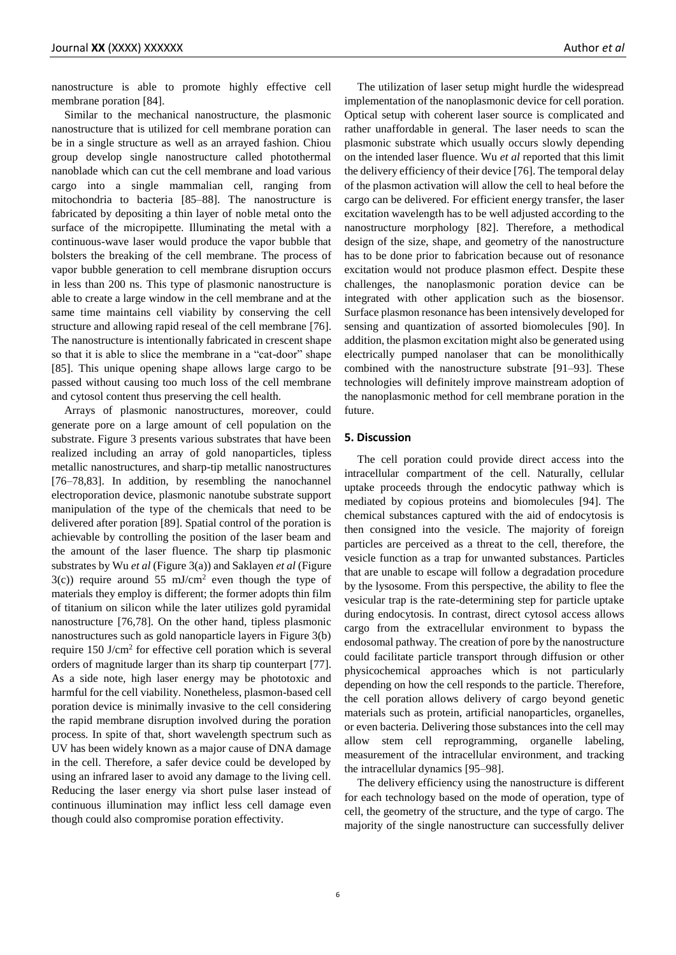nanostructure is able to promote highly effective cell membrane poration [84].

Similar to the mechanical nanostructure, the plasmonic nanostructure that is utilized for cell membrane poration can be in a single structure as well as an arrayed fashion. Chiou group develop single nanostructure called photothermal nanoblade which can cut the cell membrane and load various cargo into a single mammalian cell, ranging from mitochondria to bacteria [85–88]. The nanostructure is fabricated by depositing a thin layer of noble metal onto the surface of the micropipette. Illuminating the metal with a continuous-wave laser would produce the vapor bubble that bolsters the breaking of the cell membrane. The process of vapor bubble generation to cell membrane disruption occurs in less than 200 ns. This type of plasmonic nanostructure is able to create a large window in the cell membrane and at the same time maintains cell viability by conserving the cell structure and allowing rapid reseal of the cell membrane [76]. The nanostructure is intentionally fabricated in crescent shape so that it is able to slice the membrane in a "cat-door" shape [85]. This unique opening shape allows large cargo to be passed without causing too much loss of the cell membrane and cytosol content thus preserving the cell health.

Arrays of plasmonic nanostructures, moreover, could generate pore on a large amount of cell population on the substrate. Figure 3 presents various substrates that have been realized including an array of gold nanoparticles, tipless metallic nanostructures, and sharp-tip metallic nanostructures [76–78,83]. In addition, by resembling the nanochannel electroporation device, plasmonic nanotube substrate support manipulation of the type of the chemicals that need to be delivered after poration [89]. Spatial control of the poration is achievable by controlling the position of the laser beam and the amount of the laser fluence. The sharp tip plasmonic substrates by Wu *et al* (Figure 3(a)) and Saklayen *et al* (Figure  $3(c)$ ) require around 55 mJ/cm<sup>2</sup> even though the type of materials they employ is different; the former adopts thin film of titanium on silicon while the later utilizes gold pyramidal nanostructure [76,78]. On the other hand, tipless plasmonic nanostructures such as gold nanoparticle layers in Figure 3(b) require  $150$  J/cm<sup>2</sup> for effective cell poration which is several orders of magnitude larger than its sharp tip counterpart [77]. As a side note, high laser energy may be phototoxic and harmful for the cell viability. Nonetheless, plasmon-based cell poration device is minimally invasive to the cell considering the rapid membrane disruption involved during the poration process. In spite of that, short wavelength spectrum such as UV has been widely known as a major cause of DNA damage in the cell. Therefore, a safer device could be developed by using an infrared laser to avoid any damage to the living cell. Reducing the laser energy via short pulse laser instead of continuous illumination may inflict less cell damage even though could also compromise poration effectivity.

The utilization of laser setup might hurdle the widespread implementation of the nanoplasmonic device for cell poration. Optical setup with coherent laser source is complicated and rather unaffordable in general. The laser needs to scan the plasmonic substrate which usually occurs slowly depending on the intended laser fluence. Wu *et al* reported that this limit the delivery efficiency of their device [76]. The temporal delay of the plasmon activation will allow the cell to heal before the cargo can be delivered. For efficient energy transfer, the laser excitation wavelength has to be well adjusted according to the nanostructure morphology [82]. Therefore, a methodical design of the size, shape, and geometry of the nanostructure has to be done prior to fabrication because out of resonance excitation would not produce plasmon effect. Despite these challenges, the nanoplasmonic poration device can be integrated with other application such as the biosensor. Surface plasmon resonance has been intensively developed for sensing and quantization of assorted biomolecules [90]. In addition, the plasmon excitation might also be generated using electrically pumped nanolaser that can be monolithically combined with the nanostructure substrate [91–93]. These technologies will definitely improve mainstream adoption of the nanoplasmonic method for cell membrane poration in the future.

#### **5. Discussion**

The cell poration could provide direct access into the intracellular compartment of the cell. Naturally, cellular uptake proceeds through the endocytic pathway which is mediated by copious proteins and biomolecules [94]. The chemical substances captured with the aid of endocytosis is then consigned into the vesicle. The majority of foreign particles are perceived as a threat to the cell, therefore, the vesicle function as a trap for unwanted substances. Particles that are unable to escape will follow a degradation procedure by the lysosome. From this perspective, the ability to flee the vesicular trap is the rate-determining step for particle uptake during endocytosis. In contrast, direct cytosol access allows cargo from the extracellular environment to bypass the endosomal pathway. The creation of pore by the nanostructure could facilitate particle transport through diffusion or other physicochemical approaches which is not particularly depending on how the cell responds to the particle. Therefore, the cell poration allows delivery of cargo beyond genetic materials such as protein, artificial nanoparticles, organelles, or even bacteria. Delivering those substances into the cell may allow stem cell reprogramming, organelle labeling, measurement of the intracellular environment, and tracking the intracellular dynamics [95–98].

The delivery efficiency using the nanostructure is different for each technology based on the mode of operation, type of cell, the geometry of the structure, and the type of cargo. The majority of the single nanostructure can successfully deliver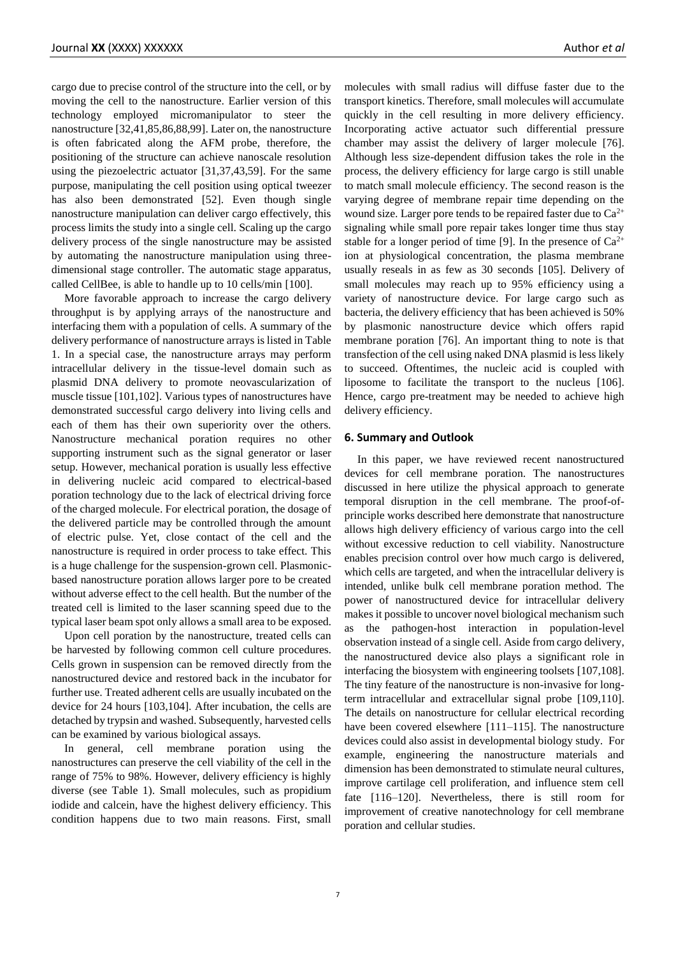cargo due to precise control of the structure into the cell, or by moving the cell to the nanostructure. Earlier version of this technology employed micromanipulator to steer the nanostructure [32,41,85,86,88,99]. Later on, the nanostructure is often fabricated along the AFM probe, therefore, the positioning of the structure can achieve nanoscale resolution using the piezoelectric actuator [31,37,43,59]. For the same purpose, manipulating the cell position using optical tweezer has also been demonstrated [52]. Even though single nanostructure manipulation can deliver cargo effectively, this process limits the study into a single cell. Scaling up the cargo delivery process of the single nanostructure may be assisted by automating the nanostructure manipulation using threedimensional stage controller. The automatic stage apparatus, called CellBee, is able to handle up to 10 cells/min [100].

More favorable approach to increase the cargo delivery throughput is by applying arrays of the nanostructure and interfacing them with a population of cells. A summary of the delivery performance of nanostructure arrays is listed in Table 1. In a special case, the nanostructure arrays may perform intracellular delivery in the tissue-level domain such as plasmid DNA delivery to promote neovascularization of muscle tissue [101,102]. Various types of nanostructures have demonstrated successful cargo delivery into living cells and each of them has their own superiority over the others. Nanostructure mechanical poration requires no other supporting instrument such as the signal generator or laser setup. However, mechanical poration is usually less effective in delivering nucleic acid compared to electrical-based poration technology due to the lack of electrical driving force of the charged molecule. For electrical poration, the dosage of the delivered particle may be controlled through the amount of electric pulse. Yet, close contact of the cell and the nanostructure is required in order process to take effect. This is a huge challenge for the suspension-grown cell. Plasmonicbased nanostructure poration allows larger pore to be created without adverse effect to the cell health. But the number of the treated cell is limited to the laser scanning speed due to the typical laser beam spot only allows a small area to be exposed.

Upon cell poration by the nanostructure, treated cells can be harvested by following common cell culture procedures. Cells grown in suspension can be removed directly from the nanostructured device and restored back in the incubator for further use. Treated adherent cells are usually incubated on the device for 24 hours [103,104]. After incubation, the cells are detached by trypsin and washed. Subsequently, harvested cells can be examined by various biological assays.

In general, cell membrane poration using the nanostructures can preserve the cell viability of the cell in the range of 75% to 98%. However, delivery efficiency is highly diverse (see Table 1). Small molecules, such as propidium iodide and calcein, have the highest delivery efficiency. This condition happens due to two main reasons. First, small molecules with small radius will diffuse faster due to the transport kinetics. Therefore, small molecules will accumulate quickly in the cell resulting in more delivery efficiency. Incorporating active actuator such differential pressure chamber may assist the delivery of larger molecule [76]. Although less size-dependent diffusion takes the role in the process, the delivery efficiency for large cargo is still unable to match small molecule efficiency. The second reason is the varying degree of membrane repair time depending on the wound size. Larger pore tends to be repaired faster due to  $Ca^{2+}$ signaling while small pore repair takes longer time thus stay stable for a longer period of time [9]. In the presence of  $Ca^{2+}$ ion at physiological concentration, the plasma membrane usually reseals in as few as 30 seconds [105]. Delivery of small molecules may reach up to 95% efficiency using a variety of nanostructure device. For large cargo such as bacteria, the delivery efficiency that has been achieved is 50% by plasmonic nanostructure device which offers rapid membrane poration [76]. An important thing to note is that transfection of the cell using naked DNA plasmid is less likely to succeed. Oftentimes, the nucleic acid is coupled with liposome to facilitate the transport to the nucleus [106]. Hence, cargo pre-treatment may be needed to achieve high delivery efficiency.

#### **6. Summary and Outlook**

In this paper, we have reviewed recent nanostructured devices for cell membrane poration. The nanostructures discussed in here utilize the physical approach to generate temporal disruption in the cell membrane. The proof-ofprinciple works described here demonstrate that nanostructure allows high delivery efficiency of various cargo into the cell without excessive reduction to cell viability. Nanostructure enables precision control over how much cargo is delivered, which cells are targeted, and when the intracellular delivery is intended, unlike bulk cell membrane poration method. The power of nanostructured device for intracellular delivery makes it possible to uncover novel biological mechanism such as the pathogen-host interaction in population-level observation instead of a single cell. Aside from cargo delivery, the nanostructured device also plays a significant role in interfacing the biosystem with engineering toolsets [107,108]. The tiny feature of the nanostructure is non-invasive for longterm intracellular and extracellular signal probe [109,110]. The details on nanostructure for cellular electrical recording have been covered elsewhere [111–115]. The nanostructure devices could also assist in developmental biology study. For example, engineering the nanostructure materials and dimension has been demonstrated to stimulate neural cultures, improve cartilage cell proliferation, and influence stem cell fate [116–120]. Nevertheless, there is still room for improvement of creative nanotechnology for cell membrane poration and cellular studies.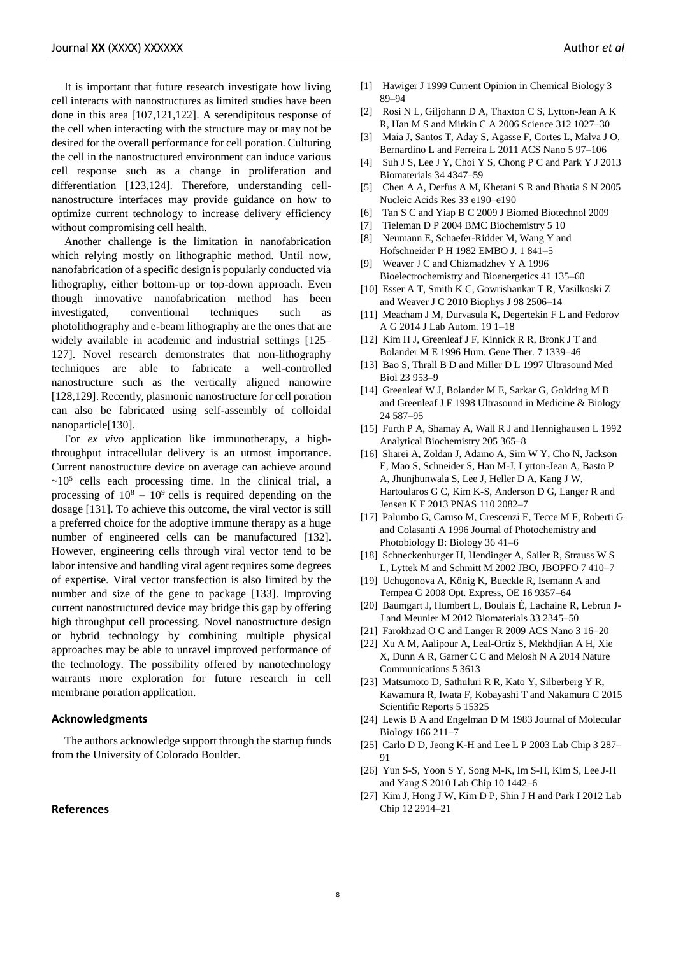It is important that future research investigate how living cell interacts with nanostructures as limited studies have been done in this area [107,121,122]. A serendipitous response of the cell when interacting with the structure may or may not be desired for the overall performance for cell poration. Culturing the cell in the nanostructured environment can induce various cell response such as a change in proliferation and differentiation [123,124]. Therefore, understanding cellnanostructure interfaces may provide guidance on how to optimize current technology to increase delivery efficiency without compromising cell health.

Another challenge is the limitation in nanofabrication which relying mostly on lithographic method. Until now, nanofabrication of a specific design is popularly conducted via lithography, either bottom-up or top-down approach. Even though innovative nanofabrication method has been investigated, conventional techniques such as photolithography and e-beam lithography are the ones that are widely available in academic and industrial settings [125– 127]. Novel research demonstrates that non-lithography techniques are able to fabricate a well-controlled nanostructure such as the vertically aligned nanowire [128,129]. Recently, plasmonic nanostructure for cell poration can also be fabricated using self-assembly of colloidal nanoparticle[130].

For *ex vivo* application like immunotherapy, a highthroughput intracellular delivery is an utmost importance. Current nanostructure device on average can achieve around  $\sim 10^5$  cells each processing time. In the clinical trial, a processing of  $10^8 - 10^9$  cells is required depending on the dosage [131]. To achieve this outcome, the viral vector is still a preferred choice for the adoptive immune therapy as a huge number of engineered cells can be manufactured [132]. However, engineering cells through viral vector tend to be labor intensive and handling viral agent requires some degrees of expertise. Viral vector transfection is also limited by the number and size of the gene to package [133]. Improving current nanostructured device may bridge this gap by offering high throughput cell processing. Novel nanostructure design or hybrid technology by combining multiple physical approaches may be able to unravel improved performance of the technology. The possibility offered by nanotechnology warrants more exploration for future research in cell membrane poration application.

#### **Acknowledgments**

The authors acknowledge support through the startup funds from the University of Colorado Boulder.

## **References**

- [2] Rosi N L, Giljohann D A, Thaxton C S, Lytton-Jean A K R, Han M S and Mirkin C A 2006 Science 312 1027–30
- [3] Maia J, Santos T, Aday S, Agasse F, Cortes L, Malva J O, Bernardino L and Ferreira L 2011 ACS Nano 5 97–106
- [4] Suh J S, Lee J Y, Choi Y S, Chong P C and Park Y J 2013 Biomaterials 34 4347–59
- [5] Chen A A, Derfus A M, Khetani S R and Bhatia S N 2005 Nucleic Acids Res 33 e190–e190
- [6] Tan S C and Yiap B C 2009 J Biomed Biotechnol 2009
- [7] Tieleman D P 2004 BMC Biochemistry 5 10
- [8] Neumann E, Schaefer-Ridder M, Wang Y and Hofschneider P H 1982 EMBO J. 1 841–5
- [9] Weaver J C and Chizmadzhev Y A 1996 Bioelectrochemistry and Bioenergetics 41 135–60
- [10] Esser A T, Smith K C, Gowrishankar T R, Vasilkoski Z and Weaver J C 2010 Biophys J 98 2506–14
- [11] Meacham J M, Durvasula K, Degertekin F L and Fedorov A G 2014 J Lab Autom. 19 1–18
- [12] Kim H J, Greenleaf J F, Kinnick R R, Bronk J T and Bolander M E 1996 Hum. Gene Ther. 7 1339–46
- [13] Bao S, Thrall B D and Miller D L 1997 Ultrasound Med Biol 23 953–9
- [14] Greenleaf W J, Bolander M E, Sarkar G, Goldring M B and Greenleaf J F 1998 Ultrasound in Medicine & Biology 24 587–95
- [15] Furth P A, Shamay A, Wall R J and Hennighausen L 1992 Analytical Biochemistry 205 365–8
- [16] Sharei A, Zoldan J, Adamo A, Sim W Y, Cho N, Jackson E, Mao S, Schneider S, Han M-J, Lytton-Jean A, Basto P A, Jhunjhunwala S, Lee J, Heller D A, Kang J W, Hartoularos G C, Kim K-S, Anderson D G, Langer R and Jensen K F 2013 PNAS 110 2082–7
- [17] Palumbo G, Caruso M, Crescenzi E, Tecce M F, Roberti G and Colasanti A 1996 Journal of Photochemistry and Photobiology B: Biology 36 41–6
- [18] Schneckenburger H, Hendinger A, Sailer R, Strauss W S L, Lyttek M and Schmitt M 2002 JBO, JBOPFO 7 410–7
- [19] Uchugonova A, König K, Bueckle R, Isemann A and Tempea G 2008 Opt. Express, OE 16 9357–64
- [20] Baumgart J, Humbert L, Boulais É, Lachaine R, Lebrun J-J and Meunier M 2012 Biomaterials 33 2345–50
- [21] Farokhzad O C and Langer R 2009 ACS Nano 3 16–20
- [22] Xu A M, Aalipour A, Leal-Ortiz S, Mekhdjian A H, Xie X, Dunn A R, Garner C C and Melosh N A 2014 Nature Communications 5 3613
- [23] Matsumoto D, Sathuluri R R, Kato Y, Silberberg Y R, Kawamura R, Iwata F, Kobayashi T and Nakamura C 2015 Scientific Reports 5 15325
- [24] Lewis B A and Engelman D M 1983 Journal of Molecular Biology 166 211–7
- [25] Carlo D D, Jeong K-H and Lee L P 2003 Lab Chip 3 287– 91
- [26] Yun S-S, Yoon S Y, Song M-K, Im S-H, Kim S, Lee J-H and Yang S 2010 Lab Chip 10 1442–6
- [27] Kim J, Hong J W, Kim D P, Shin J H and Park I 2012 Lab Chip 12 2914–21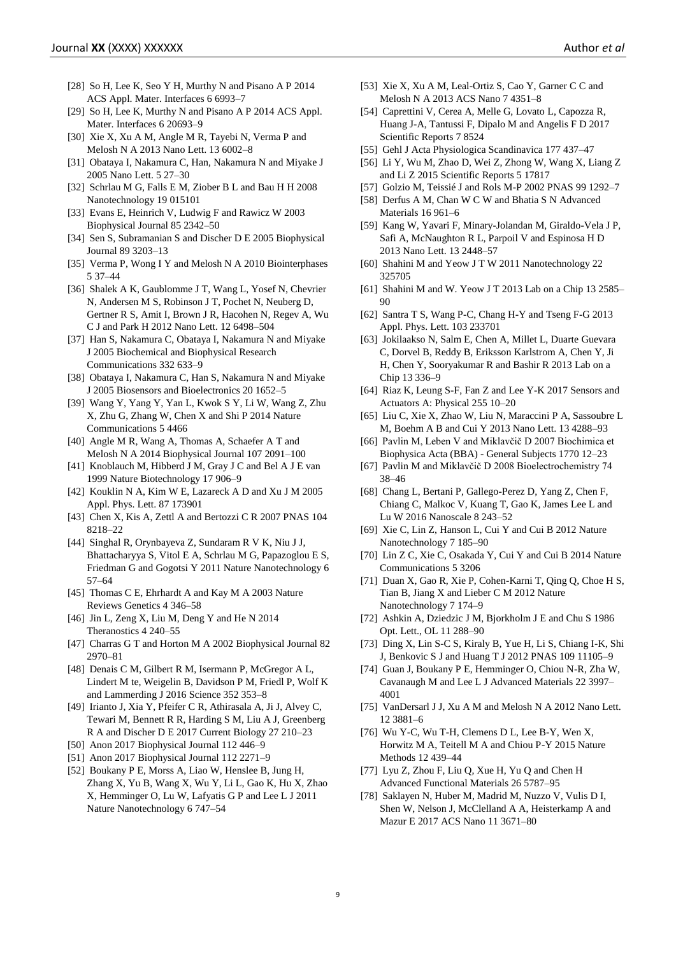- [28] So H, Lee K, Seo Y H, Murthy N and Pisano A P 2014 ACS Appl. Mater. Interfaces 6 6993–7
- [29] So H, Lee K, Murthy N and Pisano A P 2014 ACS Appl. Mater. Interfaces 6 20693–9
- [30] Xie X, Xu A M, Angle M R, Tayebi N, Verma P and Melosh N A 2013 Nano Lett. 13 6002–8
- [31] Obataya I, Nakamura C, Han, Nakamura N and Miyake J 2005 Nano Lett. 5 27–30
- [32] Schrlau M G, Falls E M, Ziober B L and Bau H H 2008 Nanotechnology 19 015101
- [33] Evans E, Heinrich V, Ludwig F and Rawicz W 2003 Biophysical Journal 85 2342–50
- [34] Sen S, Subramanian S and Discher D E 2005 Biophysical Journal 89 3203–13
- [35] Verma P, Wong I Y and Melosh N A 2010 Biointerphases 5 37–44
- [36] Shalek A K, Gaublomme J T, Wang L, Yosef N, Chevrier N, Andersen M S, Robinson J T, Pochet N, Neuberg D, Gertner R S, Amit I, Brown J R, Hacohen N, Regev A, Wu C J and Park H 2012 Nano Lett. 12 6498–504
- [37] Han S, Nakamura C, Obataya I, Nakamura N and Miyake J 2005 Biochemical and Biophysical Research Communications 332 633–9
- [38] Obataya I, Nakamura C, Han S, Nakamura N and Miyake J 2005 Biosensors and Bioelectronics 20 1652–5
- [39] Wang Y, Yang Y, Yan L, Kwok S Y, Li W, Wang Z, Zhu X, Zhu G, Zhang W, Chen X and Shi P 2014 Nature Communications 5 4466
- [40] Angle M R, Wang A, Thomas A, Schaefer A T and Melosh N A 2014 Biophysical Journal 107 2091–100
- [41] Knoblauch M, Hibberd J M, Gray J C and Bel A J E van 1999 Nature Biotechnology 17 906–9
- [42] Kouklin N A, Kim W E, Lazareck A D and Xu J M 2005 Appl. Phys. Lett. 87 173901
- [43] Chen X, Kis A, Zettl A and Bertozzi C R 2007 PNAS 104 8218–22
- [44] Singhal R, Orynbayeva Z, Sundaram R V K, Niu J J, Bhattacharyya S, Vitol E A, Schrlau M G, Papazoglou E S, Friedman G and Gogotsi Y 2011 Nature Nanotechnology 6 57–64
- [45] Thomas C E, Ehrhardt A and Kay M A 2003 Nature Reviews Genetics 4 346–58
- [46] Jin L, Zeng X, Liu M, Deng Y and He N 2014 Theranostics 4 240–55
- [47] Charras G T and Horton M A 2002 Biophysical Journal 82 2970–81
- [48] Denais C M, Gilbert R M, Isermann P, McGregor A L, Lindert M te, Weigelin B, Davidson P M, Friedl P, Wolf K and Lammerding J 2016 Science 352 353–8
- [49] Irianto J, Xia Y, Pfeifer C R, Athirasala A, Ji J, Alvey C, Tewari M, Bennett R R, Harding S M, Liu A J, Greenberg R A and Discher D E 2017 Current Biology 27 210–23
- [50] Anon 2017 Biophysical Journal 112 446–9
- [51] Anon 2017 Biophysical Journal 112 2271–9
- [52] Boukany P E, Morss A, Liao W, Henslee B, Jung H, Zhang X, Yu B, Wang X, Wu Y, Li L, Gao K, Hu X, Zhao X, Hemminger O, Lu W, Lafyatis G P and Lee L J 2011 Nature Nanotechnology 6 747–54
- [53] Xie X, Xu A M, Leal-Ortiz S, Cao Y, Garner C C and Melosh N A 2013 ACS Nano 7 4351–8
- [54] Caprettini V, Cerea A, Melle G, Lovato L, Capozza R, Huang J-A, Tantussi F, Dipalo M and Angelis F D 2017 Scientific Reports 7 8524
- [55] Gehl J Acta Physiologica Scandinavica 177 437–47
- [56] Li Y, Wu M, Zhao D, Wei Z, Zhong W, Wang X, Liang Z and Li Z 2015 Scientific Reports 5 17817
- [57] Golzio M, Teissié J and Rols M-P 2002 PNAS 99 1292–7
- [58] Derfus A M, Chan W C W and Bhatia S N Advanced Materials 16 961–6
- [59] Kang W, Yavari F, Minary-Jolandan M, Giraldo-Vela J P, Safi A, McNaughton R L, Parpoil V and Espinosa H D 2013 Nano Lett. 13 2448–57
- [60] Shahini M and Yeow J T W 2011 Nanotechnology 22 325705
- [61] Shahini M and W. Yeow J T 2013 Lab on a Chip 13 2585– 90
- [62] Santra T S, Wang P-C, Chang H-Y and Tseng F-G 2013 Appl. Phys. Lett. 103 233701
- [63] Jokilaakso N, Salm E, Chen A, Millet L, Duarte Guevara C, Dorvel B, Reddy B, Eriksson Karlstrom A, Chen Y, Ji H, Chen Y, Sooryakumar R and Bashir R 2013 Lab on a Chip 13 336–9
- [64] Riaz K, Leung S-F, Fan Z and Lee Y-K 2017 Sensors and Actuators A: Physical 255 10–20
- [65] Liu C, Xie X, Zhao W, Liu N, Maraccini P A, Sassoubre L M, Boehm A B and Cui Y 2013 Nano Lett. 13 4288–93
- [66] Pavlin M, Leben V and Miklavčič D 2007 Biochimica et Biophysica Acta (BBA) - General Subjects 1770 12–23
- [67] Pavlin M and Miklavčič D 2008 Bioelectrochemistry 74 38–46
- [68] Chang L, Bertani P, Gallego-Perez D, Yang Z, Chen F, Chiang C, Malkoc V, Kuang T, Gao K, James Lee L and Lu W 2016 Nanoscale 8 243–52
- [69] Xie C, Lin Z, Hanson L, Cui Y and Cui B 2012 Nature Nanotechnology 7 185–90
- [70] Lin Z C, Xie C, Osakada Y, Cui Y and Cui B 2014 Nature Communications 5 3206
- [71] Duan X, Gao R, Xie P, Cohen-Karni T, Qing Q, Choe H S, Tian B, Jiang X and Lieber C M 2012 Nature Nanotechnology 7 174–9
- [72] Ashkin A, Dziedzic J M, Bjorkholm J E and Chu S 1986 Opt. Lett., OL 11 288–90
- [73] Ding X, Lin S-C S, Kiraly B, Yue H, Li S, Chiang I-K, Shi J, Benkovic S J and Huang T J 2012 PNAS 109 11105–9
- [74] Guan J, Boukany P E, Hemminger O, Chiou N-R, Zha W, Cavanaugh M and Lee L J Advanced Materials 22 3997– 4001
- [75] VanDersarl J J, Xu A M and Melosh N A 2012 Nano Lett. 12 3881–6
- [76] Wu Y-C, Wu T-H, Clemens D L, Lee B-Y, Wen X, Horwitz M A, Teitell M A and Chiou P-Y 2015 Nature Methods 12 439–44
- [77] Lyu Z, Zhou F, Liu Q, Xue H, Yu Q and Chen H Advanced Functional Materials 26 5787–95
- [78] Saklayen N, Huber M, Madrid M, Nuzzo V, Vulis D I, Shen W, Nelson J, McClelland A A, Heisterkamp A and Mazur E 2017 ACS Nano 11 3671–80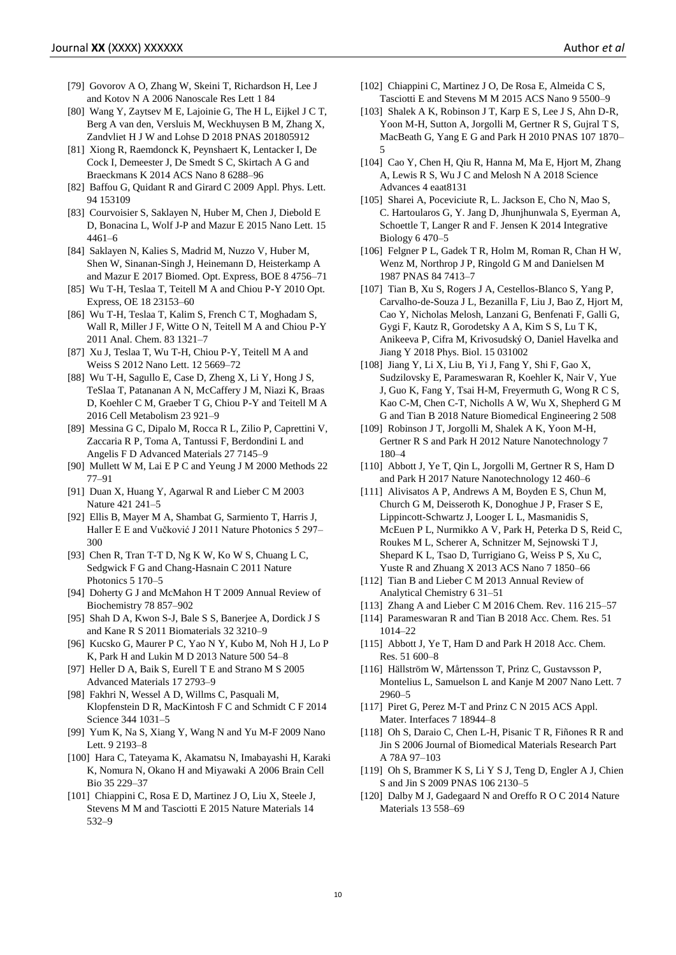- [79] Govorov A O, Zhang W, Skeini T, Richardson H, Lee J and Kotov N A 2006 Nanoscale Res Lett 1 84
- [80] Wang Y, Zaytsev M E, Lajoinie G, The H L, Eijkel J C T, Berg A van den, Versluis M, Weckhuysen B M, Zhang X, Zandvliet H J W and Lohse D 2018 PNAS 201805912
- [81] Xiong R, Raemdonck K, Peynshaert K, Lentacker I, De Cock I, Demeester J, De Smedt S C, Skirtach A G and Braeckmans K 2014 ACS Nano 8 6288–96
- [82] Baffou G, Quidant R and Girard C 2009 Appl. Phys. Lett. 94 153109
- [83] Courvoisier S, Saklayen N, Huber M, Chen J, Diebold E D, Bonacina L, Wolf J-P and Mazur E 2015 Nano Lett. 15 4461–6
- [84] Saklayen N, Kalies S, Madrid M, Nuzzo V, Huber M, Shen W, Sinanan-Singh J, Heinemann D, Heisterkamp A and Mazur E 2017 Biomed. Opt. Express, BOE 8 4756–71
- [85] Wu T-H, Teslaa T, Teitell M A and Chiou P-Y 2010 Opt. Express, OE 18 23153–60
- [86] Wu T-H, Teslaa T, Kalim S, French C T, Moghadam S, Wall R, Miller J F, Witte O N, Teitell M A and Chiou P-Y 2011 Anal. Chem. 83 1321–7
- [87] Xu J, Teslaa T, Wu T-H, Chiou P-Y, Teitell M A and Weiss S 2012 Nano Lett. 12 5669–72
- [88] Wu T-H, Sagullo E, Case D, Zheng X, Li Y, Hong J S, TeSlaa T, Patananan A N, McCaffery J M, Niazi K, Braas D, Koehler C M, Graeber T G, Chiou P-Y and Teitell M A 2016 Cell Metabolism 23 921–9
- [89] Messina G C, Dipalo M, Rocca R L, Zilio P, Caprettini V, Zaccaria R P, Toma A, Tantussi F, Berdondini L and Angelis F D Advanced Materials 27 7145–9
- [90] Mullett W M, Lai E P C and Yeung J M 2000 Methods 22 77–91
- [91] Duan X, Huang Y, Agarwal R and Lieber C M 2003 Nature 421 241–5
- [92] Ellis B, Mayer M A, Shambat G, Sarmiento T, Harris J, Haller E E and Vučković J 2011 Nature Photonics 5 297– 300
- [93] Chen R, Tran T-T D, Ng K W, Ko W S, Chuang L C, Sedgwick F G and Chang-Hasnain C 2011 Nature Photonics 5 170–5
- [94] Doherty G J and McMahon H T 2009 Annual Review of Biochemistry 78 857–902
- [95] Shah D A, Kwon S-J, Bale S S, Banerjee A, Dordick J S and Kane R S 2011 Biomaterials 32 3210–9
- [96] Kucsko G, Maurer P C, Yao N Y, Kubo M, Noh H J, Lo P K, Park H and Lukin M D 2013 Nature 500 54–8
- [97] Heller D A, Baik S, Eurell T E and Strano M S 2005 Advanced Materials 17 2793–9
- [98] Fakhri N, Wessel A D, Willms C, Pasquali M, Klopfenstein D R, MacKintosh F C and Schmidt C F 2014 Science 344 1031–5
- [99] Yum K, Na S, Xiang Y, Wang N and Yu M-F 2009 Nano Lett. 9 2193–8
- [100] Hara C, Tateyama K, Akamatsu N, Imabayashi H, Karaki K, Nomura N, Okano H and Miyawaki A 2006 Brain Cell Bio 35 229–37
- [101] Chiappini C, Rosa E D, Martinez J O, Liu X, Steele J, Stevens M M and Tasciotti E 2015 Nature Materials 14 532–9
- [102] Chiappini C, Martinez J O, De Rosa E, Almeida C S, Tasciotti E and Stevens M M 2015 ACS Nano 9 5500–9
- [103] Shalek A K, Robinson J T, Karp E S, Lee J S, Ahn D-R, Yoon M-H, Sutton A, Jorgolli M, Gertner R S, Gujral T S, MacBeath G, Yang E G and Park H 2010 PNAS 107 1870– 5
- [104] Cao Y, Chen H, Qiu R, Hanna M, Ma E, Hjort M, Zhang A, Lewis R S, Wu J C and Melosh N A 2018 Science Advances 4 eaat8131
- [105] Sharei A, Poceviciute R, L. Jackson E, Cho N, Mao S, C. Hartoularos G, Y. Jang D, Jhunjhunwala S, Eyerman A, Schoettle T, Langer R and F. Jensen K 2014 Integrative Biology 6 470–5
- [106] Felgner P L, Gadek T R, Holm M, Roman R, Chan H W, Wenz M, Northrop J P, Ringold G M and Danielsen M 1987 PNAS 84 7413–7
- [107] Tian B, Xu S, Rogers J A, Cestellos-Blanco S, Yang P, Carvalho-de-Souza J L, Bezanilla F, Liu J, Bao Z, Hjort M, Cao Y, Nicholas Melosh, Lanzani G, Benfenati F, Galli G, Gygi F, Kautz R, Gorodetsky A A, Kim S S, Lu T K, Anikeeva P, Cifra M, Krivosudský O, Daniel Havelka and Jiang Y 2018 Phys. Biol. 15 031002
- [108] Jiang Y, Li X, Liu B, Yi J, Fang Y, Shi F, Gao X, Sudzilovsky E, Parameswaran R, Koehler K, Nair V, Yue J, Guo K, Fang Y, Tsai H-M, Freyermuth G, Wong R C S, Kao C-M, Chen C-T, Nicholls A W, Wu X, Shepherd G M G and Tian B 2018 Nature Biomedical Engineering 2 508
- [109] Robinson J T, Jorgolli M, Shalek A K, Yoon M-H, Gertner R S and Park H 2012 Nature Nanotechnology 7 180–4
- [110] Abbott J, Ye T, Qin L, Jorgolli M, Gertner R S, Ham D and Park H 2017 Nature Nanotechnology 12 460–6
- [111] Alivisatos A P, Andrews A M, Boyden E S, Chun M, Church G M, Deisseroth K, Donoghue J P, Fraser S E, Lippincott-Schwartz J, Looger L L, Masmanidis S, McEuen P L, Nurmikko A V, Park H, Peterka D S, Reid C, Roukes M L, Scherer A, Schnitzer M, Sejnowski T J, Shepard K L, Tsao D, Turrigiano G, Weiss P S, Xu C, Yuste R and Zhuang X 2013 ACS Nano 7 1850–66
- [112] Tian B and Lieber C M 2013 Annual Review of Analytical Chemistry 6 31–51
- [113] Zhang A and Lieber C M 2016 Chem. Rev. 116 215–57
- [114] Parameswaran R and Tian B 2018 Acc. Chem. Res. 51] 1014–22
- [115] Abbott J, Ye T, Ham D and Park H 2018 Acc. Chem. Res. 51 600–8
- [116] Hällström W, Mårtensson T, Prinz C, Gustavsson P, Montelius L, Samuelson L and Kanje M 2007 Nano Lett. 7 2960–5
- [117] Piret G, Perez M-T and Prinz C N 2015 ACS Appl. Mater. Interfaces 7 18944–8
- [118] Oh S, Daraio C, Chen L-H, Pisanic T R, Fiñones R R and Jin S 2006 Journal of Biomedical Materials Research Part A 78A 97–103
- [119] Oh S, Brammer K S, Li Y S J, Teng D, Engler A J, Chien S and Jin S 2009 PNAS 106 2130–5
- [120] Dalby M J, Gadegaard N and Oreffo R O C 2014 Nature Materials 13 558–69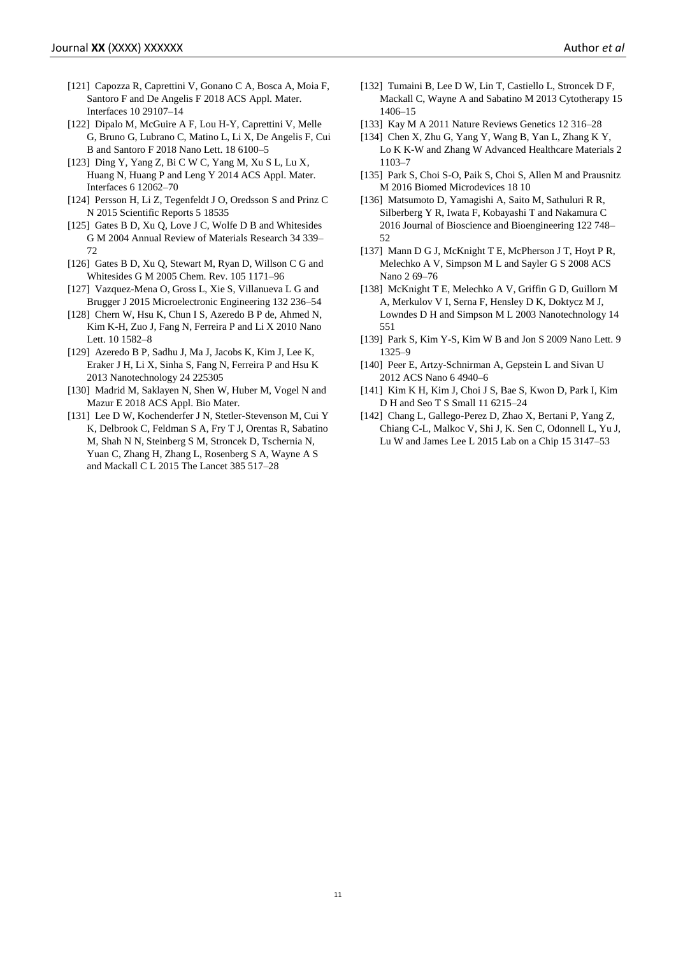- [121] Capozza R, Caprettini V, Gonano C A, Bosca A, Moia F, Santoro F and De Angelis F 2018 ACS Appl. Mater. Interfaces 10 29107–14
- [122] Dipalo M, McGuire A F, Lou H-Y, Caprettini V, Melle G, Bruno G, Lubrano C, Matino L, Li X, De Angelis F, Cui B and Santoro F 2018 Nano Lett. 18 6100–5
- [123] Ding Y, Yang Z, Bi C W C, Yang M, Xu S L, Lu X, Huang N, Huang P and Leng Y 2014 ACS Appl. Mater. Interfaces 6 12062–70
- [124] Persson H, Li Z, Tegenfeldt J O, Oredsson S and Prinz C N 2015 Scientific Reports 5 18535
- [125] Gates B D, Xu Q, Love J C, Wolfe D B and Whitesides G M 2004 Annual Review of Materials Research 34 339– 72
- [126] Gates B D, Xu Q, Stewart M, Ryan D, Willson C G and Whitesides G M 2005 Chem. Rev. 105 1171–96
- [127] Vazquez-Mena O, Gross L, Xie S, Villanueva L G and Brugger J 2015 Microelectronic Engineering 132 236–54
- [128] Chern W, Hsu K, Chun I S, Azeredo B P de, Ahmed N, Kim K-H, Zuo J, Fang N, Ferreira P and Li X 2010 Nano Lett. 10 1582–8
- [129] Azeredo B P, Sadhu J, Ma J, Jacobs K, Kim J, Lee K, Eraker J H, Li X, Sinha S, Fang N, Ferreira P and Hsu K 2013 Nanotechnology 24 225305
- [130] Madrid M, Saklayen N, Shen W, Huber M, Vogel N and Mazur E 2018 ACS Appl. Bio Mater.
- [131] Lee D W, Kochenderfer J N, Stetler-Stevenson M, Cui Y K, Delbrook C, Feldman S A, Fry T J, Orentas R, Sabatino M, Shah N N, Steinberg S M, Stroncek D, Tschernia N, Yuan C, Zhang H, Zhang L, Rosenberg S A, Wayne A S and Mackall C L 2015 The Lancet 385 517–28
- [132] Tumaini B, Lee D W, Lin T, Castiello L, Stroncek D F, Mackall C, Wayne A and Sabatino M 2013 Cytotherapy 15 1406–15
- [133] Kay M A 2011 Nature Reviews Genetics 12 316–28
- [134] Chen X, Zhu G, Yang Y, Wang B, Yan L, Zhang K Y, Lo K K-W and Zhang W Advanced Healthcare Materials 2 1103–7
- [135] Park S, Choi S-O, Paik S, Choi S, Allen M and Prausnitz M 2016 Biomed Microdevices 18 10
- [136] Matsumoto D, Yamagishi A, Saito M, Sathuluri R R, Silberberg Y R, Iwata F, Kobayashi T and Nakamura C 2016 Journal of Bioscience and Bioengineering 122 748– 52
- [137] Mann D G J, McKnight T E, McPherson J T, Hoyt P R, Melechko A V, Simpson M L and Sayler G S 2008 ACS Nano 2 69–76
- [138] McKnight T E, Melechko A V, Griffin G D, Guillorn M A, Merkulov V I, Serna F, Hensley D K, Doktycz M J, Lowndes D H and Simpson M L 2003 Nanotechnology 14 551
- [139] Park S, Kim Y-S, Kim W B and Jon S 2009 Nano Lett. 9 1325–9
- [140] Peer E, Artzy-Schnirman A, Gepstein L and Sivan U 2012 ACS Nano 6 4940–6
- [141] Kim K H, Kim J, Choi J S, Bae S, Kwon D, Park I, Kim D H and Seo T S Small 11 6215–24
- [142] Chang L, Gallego-Perez D, Zhao X, Bertani P, Yang Z, Chiang C-L, Malkoc V, Shi J, K. Sen C, Odonnell L, Yu J, Lu W and James Lee L 2015 Lab on a Chip 15 3147–53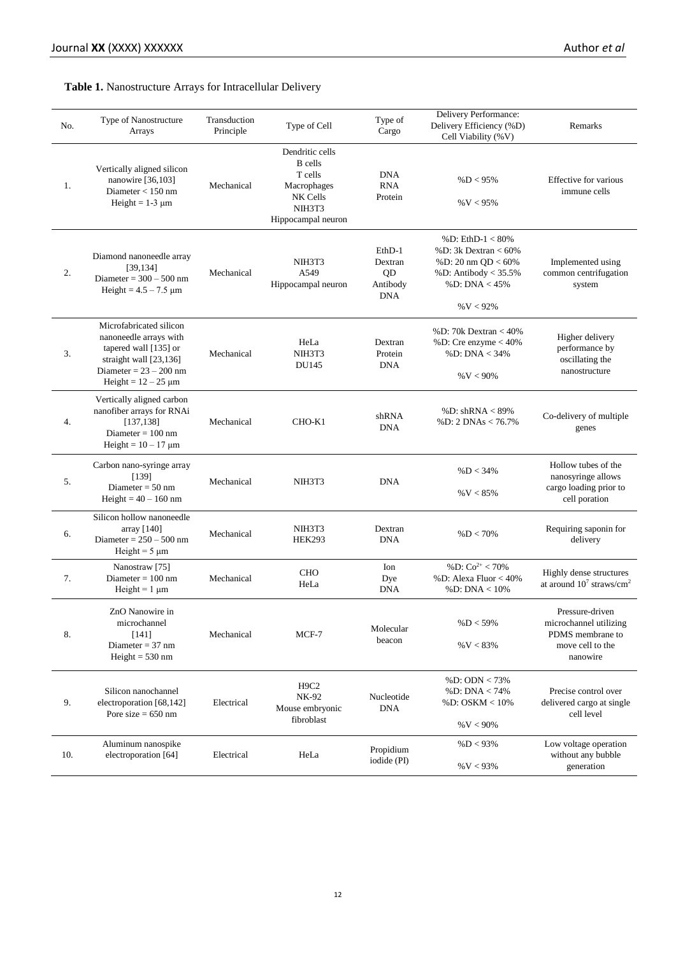# **Table 1.** Nanostructure Arrays for Intracellular Delivery

| No. | Type of Nanostructure<br>Arrays                                                                                                                                 | Transduction<br>Principle | Type of Cell                                                                                            | Type of<br>Cargo                                  | Delivery Performance:<br>Delivery Efficiency (%D)<br>Cell Viability (%V)                                                                | Remarks                                                                                       |
|-----|-----------------------------------------------------------------------------------------------------------------------------------------------------------------|---------------------------|---------------------------------------------------------------------------------------------------------|---------------------------------------------------|-----------------------------------------------------------------------------------------------------------------------------------------|-----------------------------------------------------------------------------------------------|
| 1.  | Vertically aligned silicon<br>nanowire [36,103]<br>Diameter $<$ 150 nm<br>Height = $1-3 \mu m$                                                                  | Mechanical                | Dendritic cells<br><b>B</b> cells<br>T cells<br>Macrophages<br>NK Cells<br>NIH3T3<br>Hippocampal neuron | <b>DNA</b><br><b>RNA</b><br>Protein               | %D < 95%<br>$\%V < 95\%$                                                                                                                | Effective for various<br>immune cells                                                         |
| 2.  | Diamond nanoneedle array<br>[39, 134]<br>Diameter = $300 - 500$ nm<br>Height = $4.5 - 7.5 \mu m$                                                                | Mechanical                | NIH3T3<br>A549<br>Hippocampal neuron                                                                    | EthD-1<br>Dextran<br>QD<br>Antibody<br><b>DNA</b> | % D: $EthD-1 < 80%$<br>% D: $3k$ Dextran $< 60\%$<br>% D: 20 nm QD < $60\%$<br>% D: Antibody $< 35.5%$<br>% D: DNA $< 45\%$<br>%V < 92% | Implemented using<br>common centrifugation<br>system                                          |
| 3.  | Microfabricated silicon<br>nanoneedle arrays with<br>tapered wall [135] or<br>straight wall $[23, 136]$<br>Diameter = $23 - 200$ nm<br>Height = $12 - 25 \mu m$ | Mechanical                | HeLa<br>NIH3T3<br><b>DU145</b>                                                                          | Dextran<br>Protein<br><b>DNA</b>                  | %D: 70 $k$ Dextran $<$ 40%<br>%D: Cre enzyme $<$ 40%<br>% D: DNA $<$ 34%<br>%V < 90%                                                    | Higher delivery<br>performance by<br>oscillating the<br>nanostructure                         |
| 4.  | Vertically aligned carbon<br>nanofiber arrays for RNAi<br>[137, 138]<br>Diameter $= 100$ nm<br>Height = $10 - 17 \mu m$                                         | Mechanical                | CHO-K1                                                                                                  | shRNA<br><b>DNA</b>                               | %D: $shRNA < 89%$<br>%D: 2 DNAs $< 76.7\%$                                                                                              | Co-delivery of multiple<br>genes                                                              |
| 5.  | Carbon nano-syringe array<br>[139]<br>Diameter = $50 \text{ nm}$<br>Height = $40 - 160$ nm                                                                      | Mechanical                | NIH3T3                                                                                                  | <b>DNA</b>                                        | %D < 34%<br>%V < 85%                                                                                                                    | Hollow tubes of the<br>nanosyringe allows<br>cargo loading prior to<br>cell poration          |
| 6.  | Silicon hollow nanoneedle<br>array [140]<br>Diameter = $250 - 500$ nm<br>Height = $5 \mu m$                                                                     | Mechanical                | NIH3T3<br><b>HEK293</b>                                                                                 | Dextran<br><b>DNA</b>                             | %D < 70%                                                                                                                                | Requiring saponin for<br>delivery                                                             |
| 7.  | Nanostraw <sup>[75]</sup><br>Diameter $= 100$ nm<br>Height = $1 \mu m$                                                                                          | Mechanical                | <b>CHO</b><br>HeLa                                                                                      | Ion<br>Dye<br><b>DNA</b>                          | %D: $Co^{2+} < 70\%$<br>%D: Alexa Fluor < 40%<br>% D: $DNA < 10%$                                                                       | Highly dense structures<br>at around $10^7$ straws/cm <sup>2</sup>                            |
| 8.  | ZnO Nanowire in<br>microchannel<br>$[141]$<br>Diameter = $37 \text{ nm}$<br>$Height = 530$ nm                                                                   | Mechanical                | MCF-7                                                                                                   | Molecular<br>beacon                               | %D < 59%<br>%V < 83%                                                                                                                    | Pressure-driven<br>microchannel utilizing<br>PDMS membrane to<br>move cell to the<br>nanowire |
| 9.  | Silicon nanochannel<br>electroporation [68,142]<br>Pore size $= 650$ nm                                                                                         | Electrical                | H <sub>9</sub> C <sub>2</sub><br>NK-92<br>Mouse embryonic<br>fibroblast                                 | Nucleotide<br><b>DNA</b>                          | %D: ODN $<$ 73%<br>%D: DNA < 74%<br>%D: OSKM < 10%<br>%V < 90%                                                                          | Precise control over<br>delivered cargo at single<br>cell level                               |
| 10. | Aluminum nanospike<br>electroporation [64]                                                                                                                      | Electrical                | HeLa                                                                                                    | Propidium<br>iodide (PI)                          | $%D < 93\%$<br>$\%V < 93\%$                                                                                                             | Low voltage operation<br>without any bubble<br>generation                                     |